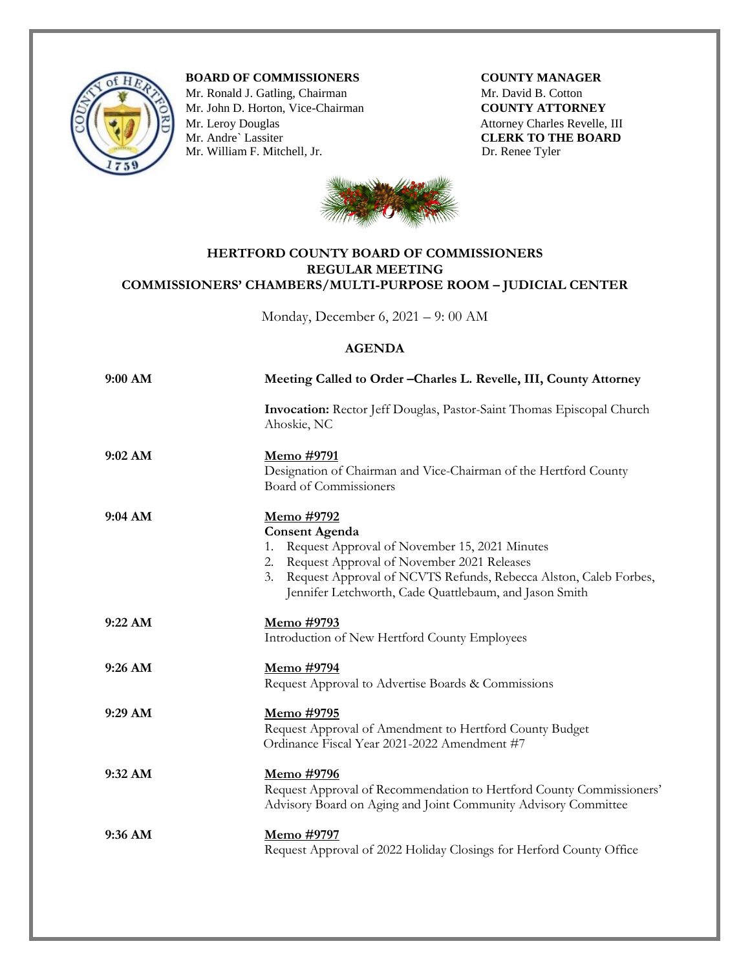

**BOARD OF COMMISSIONERS COUNTY MANAGER** 

Mr. Ronald J. Gatling, Chairman **Mr. David B. Cotton** Mr. John D. Horton, Vice-Chairman **COUNTY ATTORNEY** Mr. Leroy Douglas Attorney Charles Revelle, III Attorney Charles Revelle, III CLERK TO THE BOARD Mr. William F. Mitchell, Jr. Dr. Renee Tyler

**CLERK TO THE BOARD** 



## **HERTFORD COUNTY BOARD OF COMMISSIONERS REGULAR MEETING COMMISSIONERS' CHAMBERS/MULTI-PURPOSE ROOM – JUDICIAL CENTER**

Monday, December 6, 2021 – 9: 00 AM

## **AGENDA**

| 9:00 AM   | Meeting Called to Order - Charles L. Revelle, III, County Attorney                                                                                                                                                                                                                  |
|-----------|-------------------------------------------------------------------------------------------------------------------------------------------------------------------------------------------------------------------------------------------------------------------------------------|
|           | Invocation: Rector Jeff Douglas, Pastor-Saint Thomas Episcopal Church<br>Ahoskie, NC                                                                                                                                                                                                |
| 9:02 AM   | <u>Memo #9791</u><br>Designation of Chairman and Vice-Chairman of the Hertford County<br>Board of Commissioners                                                                                                                                                                     |
| 9:04 AM   | <u>Memo #9792</u><br><b>Consent Agenda</b><br>Request Approval of November 15, 2021 Minutes<br>1.<br>2. Request Approval of November 2021 Releases<br>3. Request Approval of NCVTS Refunds, Rebecca Alston, Caleb Forbes,<br>Jennifer Letchworth, Cade Quattlebaum, and Jason Smith |
| 9:22 AM   | <u>Memo #9793</u><br>Introduction of New Hertford County Employees                                                                                                                                                                                                                  |
| 9:26 AM   | Memo #9794<br>Request Approval to Advertise Boards & Commissions                                                                                                                                                                                                                    |
| 9:29 AM   | <u>Memo</u> #9795<br>Request Approval of Amendment to Hertford County Budget<br>Ordinance Fiscal Year 2021-2022 Amendment #7                                                                                                                                                        |
| 9:32 AM   | Memo #9796<br>Request Approval of Recommendation to Hertford County Commissioners'<br>Advisory Board on Aging and Joint Community Advisory Committee                                                                                                                                |
| $9:36$ AM | <u>Memo</u> #9797<br>Request Approval of 2022 Holiday Closings for Herford County Office                                                                                                                                                                                            |